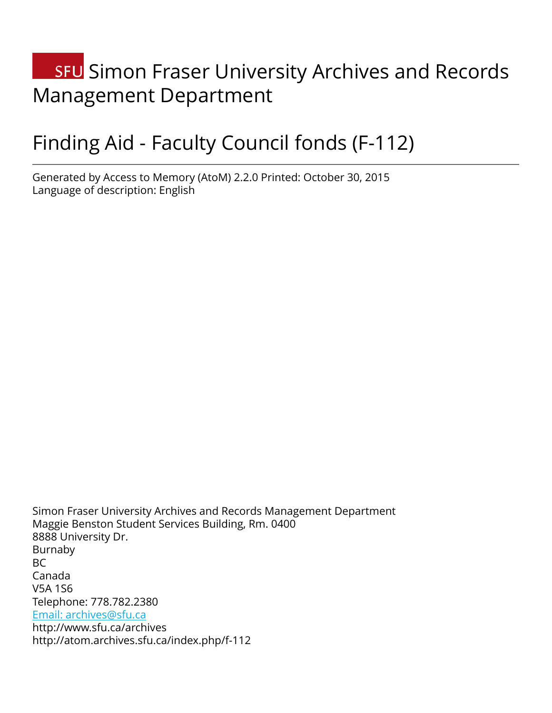# **SFU** Simon Fraser University Archives and Records Management Department

# Finding Aid - Faculty Council fonds (F-112)

Generated by Access to Memory (AtoM) 2.2.0 Printed: October 30, 2015 Language of description: English

Simon Fraser University Archives and Records Management Department Maggie Benston Student Services Building, Rm. 0400 8888 University Dr. Burnaby BC Canada V5A 1S6 Telephone: 778.782.2380 [Email: archives@sfu.ca](mailto:Email: archives@sfu.ca) http://www.sfu.ca/archives http://atom.archives.sfu.ca/index.php/f-112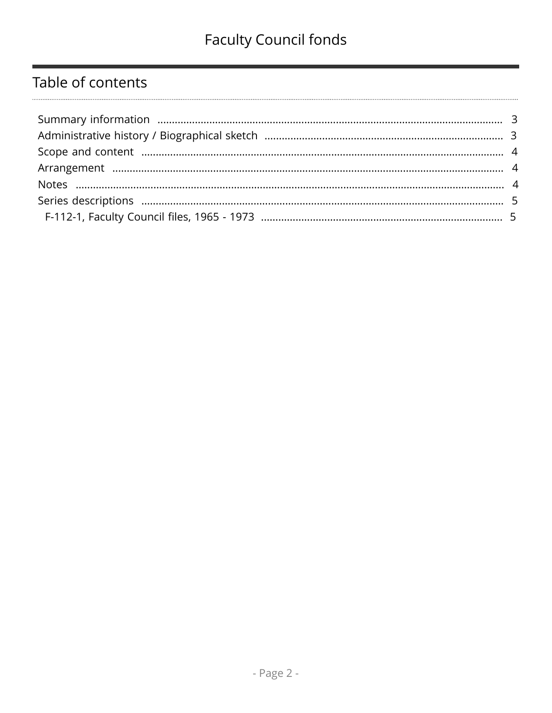## Table of contents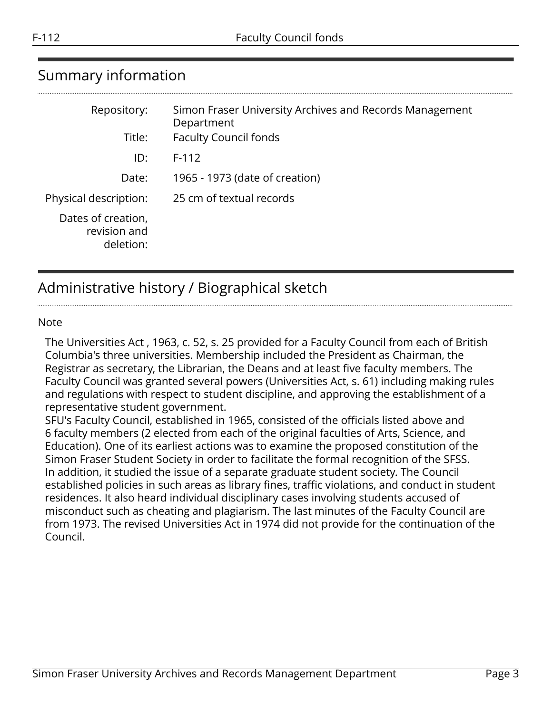### <span id="page-2-0"></span>Summary information

| Repository:                                     | Simon Fraser University Archives and Records Management<br>Department |
|-------------------------------------------------|-----------------------------------------------------------------------|
| Title:                                          | <b>Faculty Council fonds</b>                                          |
| ID:                                             | $F-112$                                                               |
| Date:                                           | 1965 - 1973 (date of creation)                                        |
| Physical description:                           | 25 cm of textual records                                              |
| Dates of creation,<br>revision and<br>deletion: |                                                                       |

## <span id="page-2-1"></span>Administrative history / Biographical sketch

#### Note

The Universities Act , 1963, c. 52, s. 25 provided for a Faculty Council from each of British Columbia's three universities. Membership included the President as Chairman, the Registrar as secretary, the Librarian, the Deans and at least five faculty members. The Faculty Council was granted several powers (Universities Act, s. 61) including making rules and regulations with respect to student discipline, and approving the establishment of a representative student government.

SFU's Faculty Council, established in 1965, consisted of the officials listed above and 6 faculty members (2 elected from each of the original faculties of Arts, Science, and Education). One of its earliest actions was to examine the proposed constitution of the Simon Fraser Student Society in order to facilitate the formal recognition of the SFSS. In addition, it studied the issue of a separate graduate student society. The Council established policies in such areas as library fines, traffic violations, and conduct in student residences. It also heard individual disciplinary cases involving students accused of misconduct such as cheating and plagiarism. The last minutes of the Faculty Council are from 1973. The revised Universities Act in 1974 did not provide for the continuation of the Council.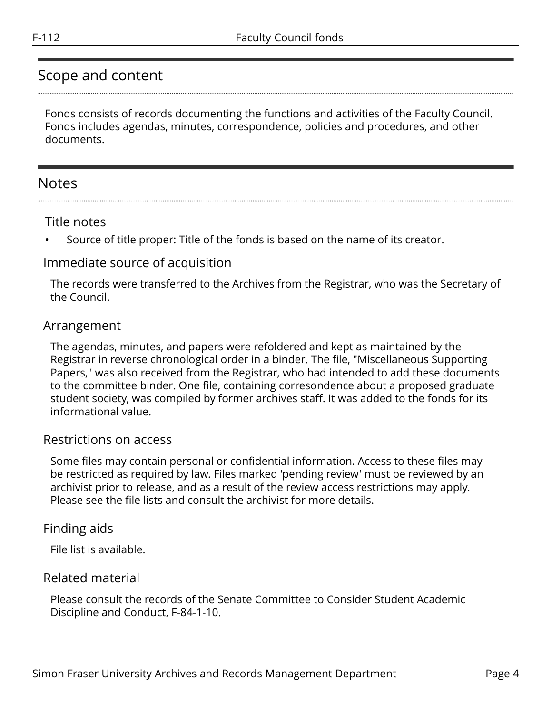### <span id="page-3-0"></span>Scope and content

Fonds consists of records documenting the functions and activities of the Faculty Council. Fonds includes agendas, minutes, correspondence, policies and procedures, and other documents.

### <span id="page-3-2"></span>Notes

#### Title notes

Source of title proper: Title of the fonds is based on the name of its creator.

#### Immediate source of acquisition

The records were transferred to the Archives from the Registrar, who was the Secretary of the Council.

#### <span id="page-3-1"></span>Arrangement

The agendas, minutes, and papers were refoldered and kept as maintained by the Registrar in reverse chronological order in a binder. The file, "Miscellaneous Supporting Papers," was also received from the Registrar, who had intended to add these documents to the committee binder. One file, containing corresondence about a proposed graduate student society, was compiled by former archives staff. It was added to the fonds for its informational value.

#### Restrictions on access

Some files may contain personal or confidential information. Access to these files may be restricted as required by law. Files marked 'pending review' must be reviewed by an archivist prior to release, and as a result of the review access restrictions may apply. Please see the file lists and consult the archivist for more details.

#### Finding aids

File list is available.

#### Related material

Please consult the records of the Senate Committee to Consider Student Academic Discipline and Conduct, F-84-1-10.